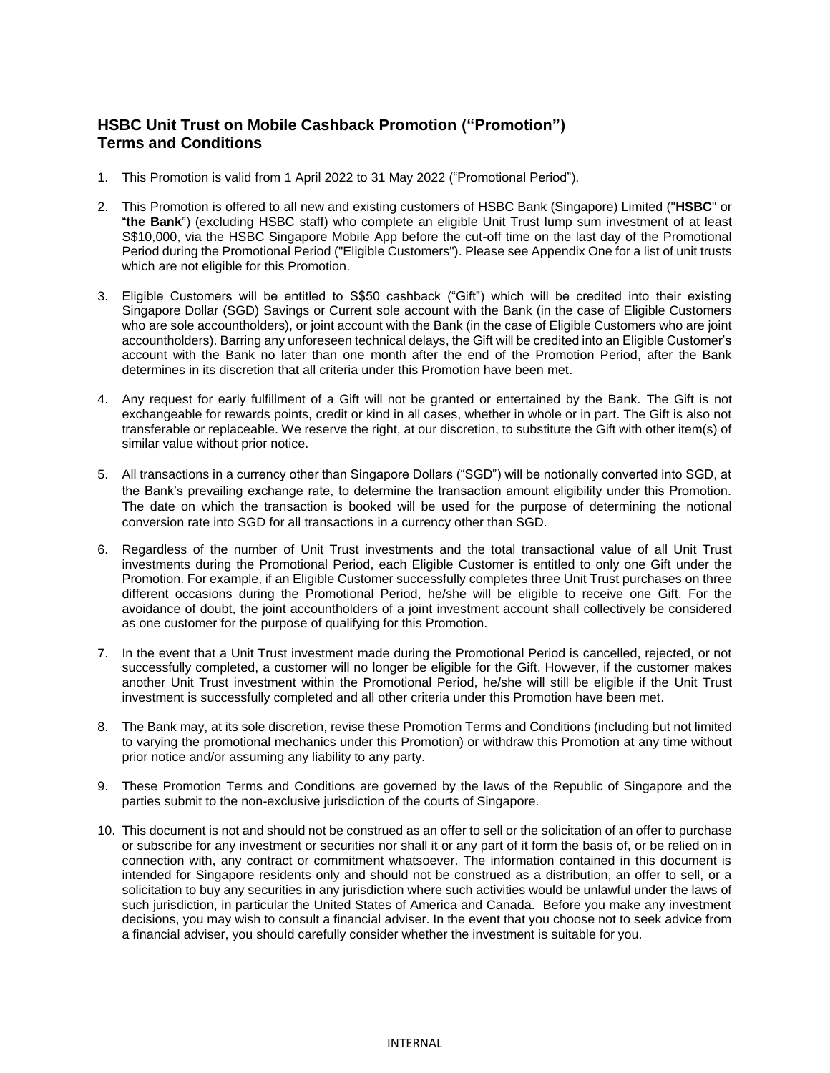## **HSBC Unit Trust on Mobile Cashback Promotion ("Promotion") Terms and Conditions**

- 1. This Promotion is valid from 1 April 2022 to 31 May 2022 ("Promotional Period").
- 2. This Promotion is offered to all new and existing customers of HSBC Bank (Singapore) Limited ("**HSBC**" or "**the Bank**") (excluding HSBC staff) who complete an eligible Unit Trust lump sum investment of at least S\$10,000, via the HSBC Singapore Mobile App before the cut-off time on the last day of the Promotional Period during the Promotional Period ("Eligible Customers"). Please see Appendix One for a list of unit trusts which are not eligible for this Promotion.
- 3. Eligible Customers will be entitled to S\$50 cashback ("Gift") which will be credited into their existing Singapore Dollar (SGD) Savings or Current sole account with the Bank (in the case of Eligible Customers who are sole accountholders), or joint account with the Bank (in the case of Eligible Customers who are joint accountholders). Barring any unforeseen technical delays, the Gift will be credited into an Eligible Customer's account with the Bank no later than one month after the end of the Promotion Period, after the Bank determines in its discretion that all criteria under this Promotion have been met.
- 4. Any request for early fulfillment of a Gift will not be granted or entertained by the Bank. The Gift is not exchangeable for rewards points, credit or kind in all cases, whether in whole or in part. The Gift is also not transferable or replaceable. We reserve the right, at our discretion, to substitute the Gift with other item(s) of similar value without prior notice.
- 5. All transactions in a currency other than Singapore Dollars ("SGD") will be notionally converted into SGD, at the Bank's prevailing exchange rate, to determine the transaction amount eligibility under this Promotion. The date on which the transaction is booked will be used for the purpose of determining the notional conversion rate into SGD for all transactions in a currency other than SGD.
- 6. Regardless of the number of Unit Trust investments and the total transactional value of all Unit Trust investments during the Promotional Period, each Eligible Customer is entitled to only one Gift under the Promotion. For example, if an Eligible Customer successfully completes three Unit Trust purchases on three different occasions during the Promotional Period, he/she will be eligible to receive one Gift. For the avoidance of doubt, the joint accountholders of a joint investment account shall collectively be considered as one customer for the purpose of qualifying for this Promotion.
- 7. In the event that a Unit Trust investment made during the Promotional Period is cancelled, rejected, or not successfully completed, a customer will no longer be eligible for the Gift. However, if the customer makes another Unit Trust investment within the Promotional Period, he/she will still be eligible if the Unit Trust investment is successfully completed and all other criteria under this Promotion have been met.
- 8. The Bank may, at its sole discretion, revise these Promotion Terms and Conditions (including but not limited to varying the promotional mechanics under this Promotion) or withdraw this Promotion at any time without prior notice and/or assuming any liability to any party.
- 9. These Promotion Terms and Conditions are governed by the laws of the Republic of Singapore and the parties submit to the non-exclusive jurisdiction of the courts of Singapore.
- 10. This document is not and should not be construed as an offer to sell or the solicitation of an offer to purchase or subscribe for any investment or securities nor shall it or any part of it form the basis of, or be relied on in connection with, any contract or commitment whatsoever. The information contained in this document is intended for Singapore residents only and should not be construed as a distribution, an offer to sell, or a solicitation to buy any securities in any jurisdiction where such activities would be unlawful under the laws of such jurisdiction, in particular the United States of America and Canada. Before you make any investment decisions, you may wish to consult a financial adviser. In the event that you choose not to seek advice from a financial adviser, you should carefully consider whether the investment is suitable for you.